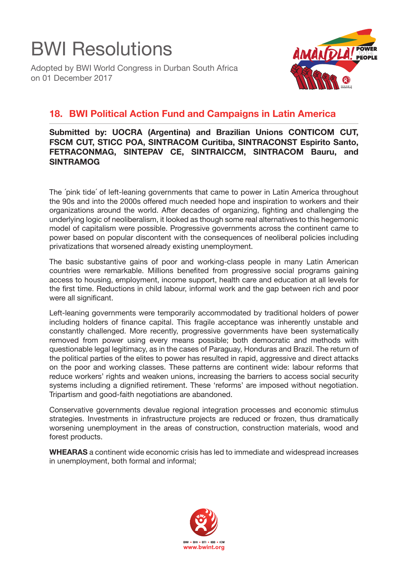

Adopted by BWI World Congress in Durban South Africa on 01 December 2017



## **18. BWI Political Action Fund and Campaigns in Latin America**

## **Submitted by: UOCRA (Argentina) and Brazilian Unions CONTICOM CUT, FSCM CUT, STICC POA, SINTRACOM Curitiba, SINTRACONST Espirito Santo, FETRACONMAG, SINTEPAV CE, SINTRAICCM, SINTRACOM Bauru, and SINTRAMOG**

The ´pink tide´ of left-leaning governments that came to power in Latin America throughout the 90s and into the 2000s offered much needed hope and inspiration to workers and their organizations around the world. After decades of organizing, fighting and challenging the underlying logic of neoliberalism, it looked as though some real alternatives to this hegemonic model of capitalism were possible. Progressive governments across the continent came to power based on popular discontent with the consequences of neoliberal policies including privatizations that worsened already existing unemployment.

The basic substantive gains of poor and working-class people in many Latin American countries were remarkable. Millions benefited from progressive social programs gaining access to housing, employment, income support, health care and education at all levels for the first time. Reductions in child labour, informal work and the gap between rich and poor were all significant.

Left-leaning governments were temporarily accommodated by traditional holders of power including holders of finance capital. This fragile acceptance was inherently unstable and constantly challenged. More recently, progressive governments have been systematically removed from power using every means possible; both democratic and methods with questionable legal legitimacy, as in the cases of Paraguay, Honduras and Brazil. The return of the political parties of the elites to power has resulted in rapid, aggressive and direct attacks on the poor and working classes. These patterns are continent wide: labour reforms that reduce workers' rights and weaken unions, increasing the barriers to access social security systems including a dignified retirement. These 'reforms' are imposed without negotiation. Tripartism and good-faith negotiations are abandoned.

Conservative governments devalue regional integration processes and economic stimulus strategies. Investments in infrastructure projects are reduced or frozen, thus dramatically worsening unemployment in the areas of construction, construction materials, wood and forest products.

**WHEARAS** a continent wide economic crisis has led to immediate and widespread increases in unemployment, both formal and informal;